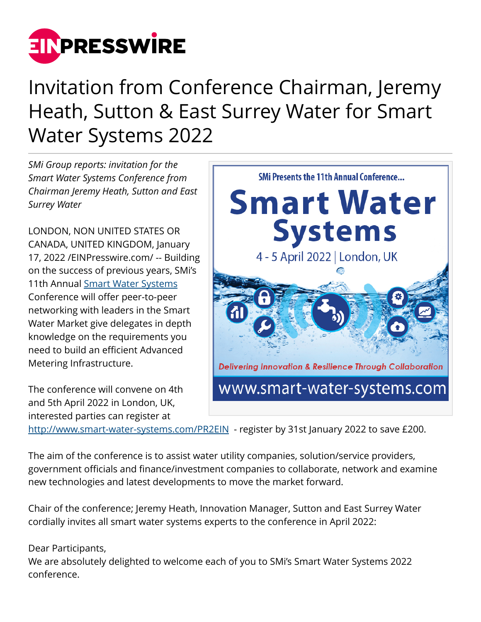

## Invitation from Conference Chairman, Jeremy Heath, Sutton & East Surrey Water for Smart Water Systems 2022

*SMi Group reports: invitation for the Smart Water Systems Conference from Chairman Jeremy Heath, Sutton and East Surrey Water* 

LONDON, NON UNITED STATES OR CANADA, UNITED KINGDOM, January 17, 2022 /[EINPresswire.com/](http://www.einpresswire.com) -- Building on the success of previous years, SMi's 11th Annual [Smart Water Systems](http://www.smart-water-systems.com/PR2EIN) Conference will offer peer-to-peer networking with leaders in the Smart Water Market give delegates in depth knowledge on the requirements you need to build an efficient Advanced Metering Infrastructure.

The conference will convene on 4th and 5th April 2022 in London, UK, interested parties can register at

**Smart Water Systems** 4 - 5 April 2022 | London, UK **Delivering Innovation & Resilience Through Collaboration** www.smart-water-systems.com

**SMi Presents the 11th Annual Conference...** 

<http://www.smart-water-systems.com/PR2EIN>- register by 31st January 2022 to save £200.

The aim of the conference is to assist water utility companies, solution/service providers, government officials and finance/investment companies to collaborate, network and examine new technologies and latest developments to move the market forward.

Chair of the conference; Jeremy Heath, Innovation Manager, Sutton and East Surrey Water cordially invites all smart water systems experts to the conference in April 2022:

## Dear Participants,

We are absolutely delighted to welcome each of you to SMi's Smart Water Systems 2022 conference.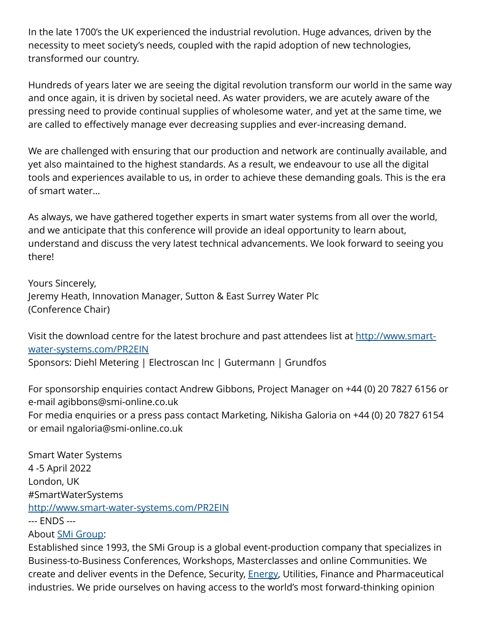In the late 1700's the UK experienced the industrial revolution. Huge advances, driven by the necessity to meet society's needs, coupled with the rapid adoption of new technologies, transformed our country.

Hundreds of years later we are seeing the digital revolution transform our world in the same way and once again, it is driven by societal need. As water providers, we are acutely aware of the pressing need to provide continual supplies of wholesome water, and yet at the same time, we are called to effectively manage ever decreasing supplies and ever-increasing demand.

We are challenged with ensuring that our production and network are continually available, and yet also maintained to the highest standards. As a result, we endeavour to use all the digital tools and experiences available to us, in order to achieve these demanding goals. This is the era of smart water…

As always, we have gathered together experts in smart water systems from all over the world, and we anticipate that this conference will provide an ideal opportunity to learn about, understand and discuss the very latest technical advancements. We look forward to seeing you there!

Yours Sincerely, Jeremy Heath, Innovation Manager, Sutton & East Surrey Water Plc (Conference Chair)

Visit the download centre for the latest brochure and past attendees list at [http://www.smart](http://www.smart-water-systems.com/PR2EIN)[water-systems.com/PR2EIN](http://www.smart-water-systems.com/PR2EIN) Sponsors: Diehl Metering | Electroscan Inc | Gutermann | Grundfos

For sponsorship enquiries contact Andrew Gibbons, Project Manager on +44 (0) 20 7827 6156 or e-mail agibbons@smi-online.co.uk For media enquiries or a press pass contact Marketing, Nikisha Galoria on +44 (0) 20 7827 6154 or email ngaloria@smi-online.co.uk

Smart Water Systems 4 -5 April 2022 London, UK #SmartWaterSystems <http://www.smart-water-systems.com/PR2EIN> --- ENDS ---

About [SMi Group:](http://www.smart-water-systems.com/PR2EIN)

Established since 1993, the SMi Group is a global event-production company that specializes in Business-to-Business Conferences, Workshops, Masterclasses and online Communities. We create and deliver events in the Defence, Security, [Energy](http://www.smart-water-systems.com/PR2EIN), Utilities, Finance and Pharmaceutical industries. We pride ourselves on having access to the world's most forward-thinking opinion